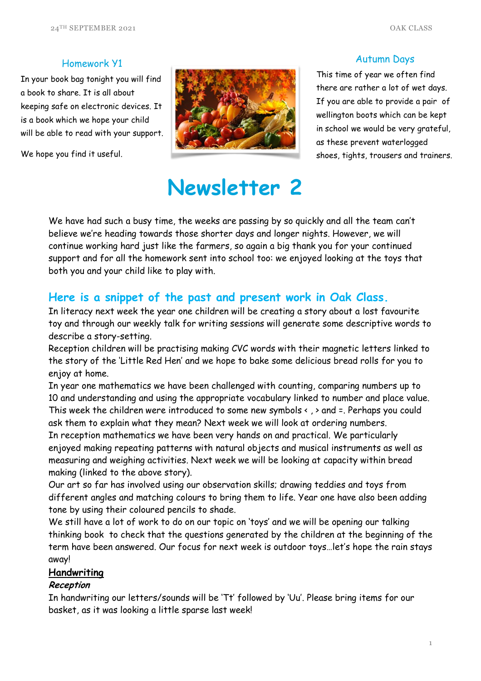## Homework Y1

In your book bag tonight you will find a book to share. It is all about keeping safe on electronic devices. It is a book which we hope your child will be able to read with your support.

We hope you find it useful.



# **Newsletter 2**

## Autumn Days

This time of year we often find there are rather a lot of wet days. If you are able to provide a pair of wellington boots which can be kept in school we would be very grateful, as these prevent waterlogged shoes, tights, trousers and trainers.

We have had such a busy time, the weeks are passing by so quickly and all the team can't believe we're heading towards those shorter days and longer nights. However, we will continue working hard just like the farmers, so again a big thank you for your continued support and for all the homework sent into school too: we enjoyed looking at the toys that both you and your child like to play with.

## **Here is a snippet of the past and present work in Oak Class.**

In literacy next week the year one children will be creating a story about a lost favourite toy and through our weekly talk for writing sessions will generate some descriptive words to 1 describe a story-setting. **Pan Ciuss**.

Reception children will be practising making CVC words with their magnetic letters linked to 1p the story of the 'Little Red Hen' and we hope to bake some delicious bread rolls for you to<br>enjoy at home enjoy at home.

In year one mathematics we have been challenged with counting, comparing numbers up to 10 and understanding and using the appropriate vocabulary linked to number and place value. This week the children were introduced to some new symbols  $\left\langle \cdot \right\rangle$  and =. Perhaps you could ask them to explain what they mean? Next week we will look at ordering numbers. In reception mathematics we have been very hands on and practical. We particularly enjoyed making repeating patterns with natural objects and musical instruments as well as measuring and weighing activities. Next week we will be looking at capacity within bread making (linked to the above story).

Our art so far has involved using our observation skills; drawing teddies and toys from different angles and matching colours to bring them to life. Year one have also been adding tone by using their coloured pencils to shade.

We still have a lot of work to do on our topic on 'toys' and we will be opening our talking thinking book to check that the questions generated by the children at the beginning of the term have been answered. Our focus for next week is outdoor toys…let's hope the rain stays away!

## **Handwriting**

## **Reception**

In handwriting our letters/sounds will be 'Tt' followed by 'Uu'. Please bring items for our basket, as it was looking a little sparse last week!